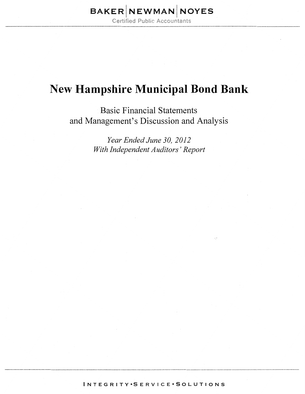# $\mathsf{BAKER}\big|\mathsf{NEWMAN}\big|\mathsf{NOYES}\big|$

**Certified Public Accountants** 

## **New Hampshire Municipal Bond Bank**

Basic Financial Statements and Management's Discussion and Analysis

> *Year Ended June 30, 2012 With Independent Auditors' Report*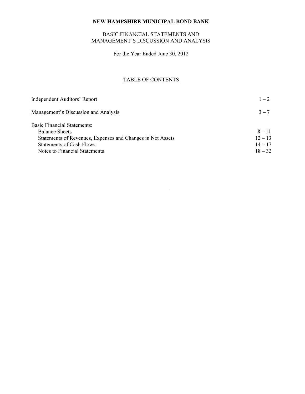## BASIC FINANCIAL STATEMENTS AND MANAGEMENT'S DISCUSSION AND ANALYSIS

For the Year Ended June 30, 2012

### TABLE OF CONTENTS

| Independent Auditors' Report                               | $1 - 2$   |
|------------------------------------------------------------|-----------|
| Management's Discussion and Analysis                       | $3 - 7$   |
| Basic Financial Statements:                                |           |
| <b>Balance Sheets</b>                                      | $8 - 11$  |
| Statements of Revenues, Expenses and Changes in Net Assets | $12 - 13$ |
| <b>Statements of Cash Flows</b>                            | $14 - 17$ |
| Notes to Financial Statements                              | $18 - 32$ |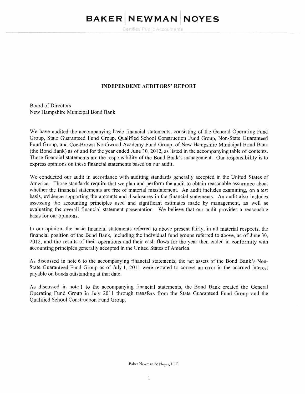# BAKER NEWMAN NOYES

Certified Public Accountants

#### INDEPENDENT AUDITORS' REPORT

Board of Directors New Hampshire Municipal Bond Bank

We have audited the accompanying basic financial statements, consisting of the General Operating Fund Group, State Guaranteed Fund Group, Qualified School Construction Fund Group, Non-State Guaranteed Fund Group, and Coe-Brown Northwood Academy Fund Group, of New Hampshire Municipal Bond Bank (the Bond Bank) as of and for the year ended June 30, 2012, as listed in the accompanying table of contents. These financial statements are the responsibility of the Bond Bank's management. Our responsibility is to express opinions on these financial statements based on our audit.

We conducted our audit in accordance with auditing standards generally accepted in the United States of America. Those standards require that we plan and perform the audit to obtain reasonable assurance about whether the financial statements are free of material misstatement. An audit includes examining, on a test basis, evidence supporting the amounts and disclosures in the financial statements. An audit also includes assessing the accounting principles used and significant estimates made by management, as well as evaluating the overall financial statement presentation. We believe that our audit provides a reasonable basis for our opinions.

In our opinion, the basic financial statements referred to above present fairly, in all material respects, the financial position of the Bond Bank, including the individual fund groups referred to above, as of June 30, 2012, and the results of their operations and their cash flows for the year then ended in conformity with accounting principles generally accepted in the United States of America.

As discussed in note 6 to the accompanying financial statements, the net assets of the Bond Bank's Non-State Guaranteed Fund Group as of July I, 2011 were restated to correct an error in the accrued interest payable on bonds outstanding at that date.

As discussed in note 1 to the accompanying financial statements, the Bond Bank created the General Operating Fund Group in July 2011 through transfers from the State Guaranteed Fund Group and the Qualified School Construction Fund Group.

Baker Newman & Noyes, LLC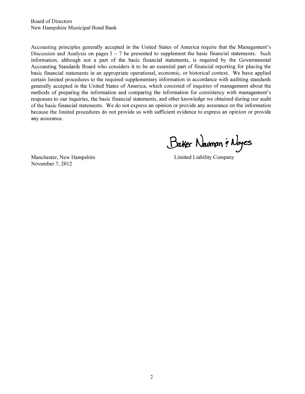Board of Directors New Hampshire Municipal Bond Bank

Accounting principles generally accepted in the United States of America require that the Management's Discussion and Analysis on pages  $3 - 7$  be presented to supplement the basic financial statements. Such information, although not a part of the basic financial statements, is required by the Governmental Accounting Standards Board who considers it to be an essential part of financial reporting for placing the basic financial statements in an appropriate operational, economic, or historical context. We have applied certain limited procedures to the required supplementary information in accordance with auditing standards generally accepted in the United States of America, which consisted of inquiries of management about the methods of preparing the information and comparing the information for consistency with management's responses to our inquiries, the basic financial statements, and other knowledge we obtained during our audit of the basic financial statements. We do not express an opinion or provide any assurance on the information because the limited procedures do not provide us with sufficient evidence to express an opinion or provide any assurance.

Baker Navman & Noyes

Manchester, New Hampshire November 7, 2012

Limited Liability Company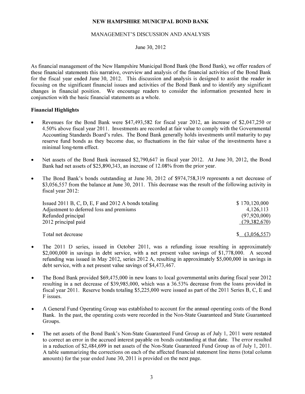#### MANAGEMENT'S DISCUSSION AND ANALYSIS

#### June 30, 2012

As financial management of the New Hampshire Municipal Bond Bank (the Bond Bank), we offer readers of these financial statements this narrative, overview and analysis of the financial activities of the Bond Bank for the fiscal year ended June 30, 2012. This discussion and analysis is designed to assist the reader in focusing on the significant financial issues and activities of the Bond Bank and to identify any significant changes in financial position. We encourage readers to consider the information presented here in conjunction with the basic financial statements as a whole.

#### **Financial Highlights**

- Revenues for the Bond Bank were \$47,493,582 for fiscal year 2012, an increase of \$2,047,250 or 4.50% above fiscal year 2011. Investments are recorded at fair value to comply with the Governmental Accounting Standards Board's rules. The Bond Bank generally holds investments until maturity to pay reserve fund bonds as they become due, so fluctuations in the fair value of the investments have a minimal long-term effect.
- Net assets of the Bond Bank increased \$2,790,647 in fiscal year 2012. At June 30, 2012, the Bond Bank had net assets of \$25,890,343, an increase of 12.08% from the prior year.
- The Bond Bank's bonds outstanding at June 30, 2012 of \$974,758,319 represents a net decrease of \$3,056,557 from the balance at June 30, 2011. This decrease was the result of the following activity in fiscal year 2012:

| Issued 2011 B, C, D, E, F and 2012 A bonds totaling | \$170,120,000  |
|-----------------------------------------------------|----------------|
| Adjustment to deferred loss and premiums            | 4,126,113      |
| Refunded principal                                  | (97,920,000)   |
| 2012 principal paid                                 | (79,382,670)   |
|                                                     |                |
| Total net decrease                                  | \$ (3,056,557) |

- The 2011 D series, issued in October 2011, was a refunding issue resulting in approximately \$2,000,000 in savings in debt service, with a net present value savings of \$1,778,000. A second refunding was issued in May 2012, series 2012 A, resulting in approximately \$5,000,000 in savings in debt service, with a net present value savings of \$4,473,467.
- The Bond Bank provided \$69,475,000 in new loans to local governmental units during fiscal year 2012 resulting in a net decrease of \$39,985,000, which was a 36.53% decrease from the loans provided in fiscal year 2011. Reserve bonds totaling \$5,225,000 were issued as part of the 2011 Series B, C, E and F issues.
- A General Fund Operating Group was established to account for the annual operating costs of the Bond Bank. In the past, the operating costs were recorded in the Non-State Guaranteed and State Guaranteed Groups.
- The net assets of the Bond Bank's Non-State Guaranteed Fund Group as of July 1, 2011 were restated to correct an error in the accrued interest payable on bonds outstanding at that date. The error resulted in a reduction of \$2,484,699 in net assets of the Non-State Guaranteed Fund Group as of July 1, 2011. A table summarizing the corrections on each of the affected financial statement line items (total column amounts) for the year ended June 30, 2011 is provided on the next page.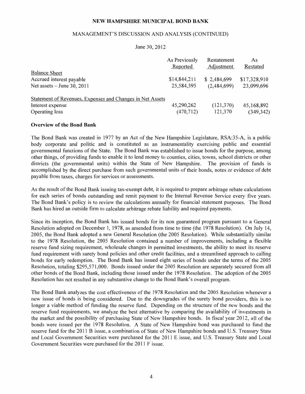#### MANAGEMENT'S DISCUSSION AND ANALYSIS (CONTINUED)

#### June 30, 2012

| As Previously | Restatement                                               | As           |
|---------------|-----------------------------------------------------------|--------------|
| Reported      | Adjustment                                                | Restated     |
|               |                                                           |              |
| \$14,844,211  | \$2,484,699                                               | \$17,328,910 |
| 25,584,395    | (2,484,699)                                               | 23,099,696   |
|               |                                                           |              |
|               |                                                           |              |
| 45,290,262    | (121,370)                                                 | 45,168,892   |
| (470, 712)    | 121,370                                                   | (349, 342)   |
|               | Statement of Revenues, Expenses and Changes in Net Assets |              |

#### **Overview of the Bond Bank**

The Bond Bank was created in 1977 by an Act of the New Hampshire Legislature, RSA:35-A, is a public body corporate and politic and is constituted as an instrumentaiity exercising public and essential governmental functions of the State. The Bond Bank was established to issue bonds for the purpose, among other things, of providing funds to enable it to lend money to counties, cities, towns, school districts or other districts (the governmental units) within the State of New Hampshire. The provision of funds is accomplished by the direct purchase from such governmental units of their bonds, notes or evidence of debt payable from taxes, charges for services or assessments.

As the result of the Bond Bank issuing tax-exempt debt, it is required to prepare arbitrage rebate calculations for each series of bonds outstanding and remit payment to the Internal Revenue Service every five years. The Bond Bank's policy is to review the calculations annually for financial statement purposes. The Bond Bank has hired an outside firm to calculate arbitrage rebate liability and required payments.

Since its inception, the Bond Bank has issued bonds for its non guaranteed program pursuant to a General Resolution adopted on December 1, 1978, as amended from time to time (the 1978 Resolution). On July 14, 2005, the Bond Bank adopted a new General Resolution (the 2005 Resolution). While substantially similar to the 1978 Resolution, the 2005 Resolution contained a number of improvements, including a flexible reserve fund sizing requirement, wholesale changes in permitted investments, the ability to meet its reserve fund requirement with surety bond policies and other credit facilities, and a streamlined approach to calling bonds for early redemption. The Bond Bank has issued eight series of bonds under the terms of the 2005 Resolution, totaling \$295,571,000. Bonds issued under the 2005 Resolution are separately secured from all other bonds of the Bond Bank, including those issued under the 1978 Resolution. The adoption of the 2005 Resolution has not resulted in any substantive change to the Bond Bank's overall program.

The Bond Bank analyzes the cost effectiveness of the 1978 Resolution and the 2005 Resolution whenever a new issue of bonds is being considered. Due to the downgrades of the surety bond providers, this is no longer a viable method of funding the reserve fund. Depending on the structure of the new bonds and the reserve fund requirements, we analyze the best alternative by comparing the availability of investments in the market and the possibility of purchasing State of New Hampshire bonds. In fiscal year 2012, all of the bonds were issued per the 1978 Resolution. A State of New Hampshire bond was purchased to fund the reserve fund for the 2011 B issue, a combination of State of New Hampshire bonds and U.S. Treasury State and Local Government Securities were purchased for the 2011 E issue, and U.S. Treasury State and Local Government Securities were purchased for the 2011 F issue.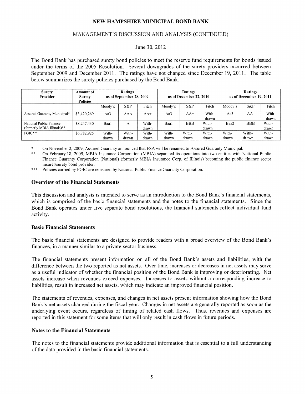#### MANAGEMENT'S DISCUSSION AND ANALYSIS (CONTINUED)

#### June 30, 2012

The Bond Bank has purchased surety bond policies to meet the reserve fund requirements for bonds issued under the terms of the 2005 Resolution. Several downgrades of the surety providers occurred between September 2009 and December 2011. The ratings have not changed since December 19, 2011. The table below summarizes the surety policies purchased by the Bond Bank:

| <b>Surety</b><br>Provider                             | Amount of<br><b>Surety</b><br><b>Policies</b> | Ratings<br>as of September 28, 2009 |                |                |                |                | Ratings<br>as of December 22, 2010 |                |                | Ratings<br>as of December 19, 2011 |  |
|-------------------------------------------------------|-----------------------------------------------|-------------------------------------|----------------|----------------|----------------|----------------|------------------------------------|----------------|----------------|------------------------------------|--|
|                                                       |                                               | Moody's                             | S&P            | Fitch          | Moody's        | S&P            | Fitch                              | Moody's        | S&P            | Fitch                              |  |
| Assured Guaranty Municipal*                           | \$3,420,269                                   | Aa3                                 | AAA            | AA+            | Aa3            | $AA+$          | With-<br>drawn                     | Aa3            | AA-            | With-<br>drawn                     |  |
| National Public Finance<br>(formerly MBIA Illinois)** | \$8,247,430                                   | Baa1                                | A              | With-<br>drawn | Baal           | <b>BBB</b>     | With-<br>drawn                     | Baa2           | <b>BBB</b>     | With-<br>drawn                     |  |
| $FGIC***$                                             | \$6,782,925                                   | With-<br>drawn                      | With-<br>drawn | With-<br>drawn | With-<br>drawn | With-<br>drawn | With-<br>drawn                     | With-<br>drawn | With-<br>drawn | With-<br>drawn                     |  |

\* On November 2, 2009, Assured Guaranty announced that FSA will be renamed to Assured Guaranty Municipal.

\*\* On February 18, 2009, MBIA Insurance Corporation (MBIA) separated its operations into two entities with National Public Finance Guaranty Corporation (National) (formerly MBIA Insurance Corp. of Illinois) becoming the public finance sector insurer/surety bond provider.

\*\*\* Policies carried by FGIC are reinsured by National Public Finance Guaranty Corporation.

#### Overview of the Financial Statements

This discussion and analysis is intended to serve as an introduction to the Bond Bank's financial statements, which is comprised of the basic financial statements and the notes to the financial statements. Since the Bond Bank operates under five separate bond resolutions, the financial statements reflect individual fund activity.

#### Basic Financial Statements

The basic financial statements are designed to provide readers with a broad overview of the Bond Bank's finances, in a manner similar to a private-sector business.

The financial statements present information on all of the Bond Bank's assets and liabilities, with the difference between the two reported as net assets. Over time, increases or decreases in net assets may serve as a useful indicator of whether the financial position of the Bond Bank is improving or deteriorating. Net assets increase when revenues exceed expenses. Increases to assets without a corresponding increase to liabilities, result in increased net assets, which may indicate an improved financial position.

The statements of revenues, expenses, and changes in net assets present information showing how the Bond Bank's net assets changed during the fiscal year. Changes in net assets are generally reported as soon as the underlying event occurs, regardless of timing of related cash flows. Thus, revenues and expenses are reported in this statement for some items that will only result in cash flows in future periods.

#### Notes to the Financial Statements

The notes to the financial statements provide additional information that is essential to a full understanding of the data provided in the basic financial statements.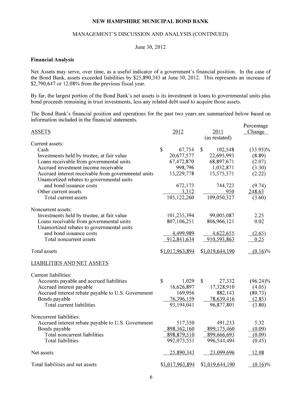#### MANAGEMENT'S DISCUSSION AND ANALYSIS (CONTINUED)

#### June 30, 2012

#### **Financial Analysis**

Net Assets may serve, over time, as a useful indicator of a government's financial position. In the case of the Bond Bank, assets exceeded liabilities by \$25,890,343 at June 30, 2012. This represents an increase of \$2,790,647 or 12.08% from the previous fiscal year.

By far, the largest portion of the Bond Bank's net assets is its investment in loans to governmental units plus bond proceeds remaining in trust investments, less any related debt used to acquire those assets.

The Bond Bank's financial position and operations for the past two years are summarized below based on information included in the financial statements.

| <b>ASSETS</b>                                                                                    | 2012                  | 2011<br>(as restated)  | Percentage<br>Change |
|--------------------------------------------------------------------------------------------------|-----------------------|------------------------|----------------------|
| Current assets:                                                                                  |                       |                        |                      |
| Cash                                                                                             | $\mathbf S$<br>67,754 | 102,548<br>\$          | $(33.93)\%$          |
| Investments held by trustee, at fair value                                                       | 20,677,577            | 22,695,993             | (8.89)               |
| Loans receivable from governmental units                                                         | 67,472,870            | 68,897,671             | (2.07)               |
| Accrued investment income receivable                                                             | 998,796               | 1,032,871              | (3.30)               |
| Accrued interest receivable from governmental units<br>Unamortized rebates to governmental units | 15,229,778            | 15,575,571             | (2.22)               |
| and bond issuance costs                                                                          | 672,173               | 744,723                | (9.74)               |
| Other current assets                                                                             | 3,312                 | 950                    | 248.63               |
| Total current assets                                                                             | 105,122,260           | 109,050,327            | (3.60)               |
|                                                                                                  |                       |                        |                      |
| Noncurrent assets:                                                                               |                       |                        |                      |
| Investments held by trustee, at fair value                                                       | 101,235,394           | 99,005,087             | 2.25                 |
| Loans receivable from governmental units                                                         | 807,106,251           | 806,966,121            | 0.02                 |
| Unamortized rebates to governmental units                                                        |                       |                        |                      |
| and bond issuance costs                                                                          | 4,499,989             | 4,622,655              | (2.65)               |
| Total noncurrent assets                                                                          | 912,841,634           | 910,593,863            | 0.25                 |
| Total assets                                                                                     | \$1,017,963,894       | \$1,019,644,190        | $(0.16)\%$           |
| <b>LIABILITIES AND NET ASSETS</b>                                                                |                       |                        |                      |
| Current liabilities:                                                                             |                       |                        |                      |
| Accounts payable and accrued liabilities                                                         | $\mathbb{S}$<br>1,029 | $\mathbb{S}$<br>27,332 | $(96.24)\%$          |
| Accrued interest payable                                                                         | 16,626,897            | 17,328,910             | (4.05)               |
| Accrued interest rebate payable to U.S. Government                                               | 169,956               | 882,143                | (80.73)              |
| Bonds payable                                                                                    | 76,396,159            | 78,639,416             | (2.85)               |
| Total current liabilities                                                                        | 93,194,041            | 96,877,801             | (3.80)               |
|                                                                                                  |                       |                        |                      |
| Noncurrent liabilities:                                                                          |                       |                        |                      |
| Accrued interest rebate payable to U.S. Government                                               | 517,350               | 491,233                | 5.32                 |
| Bonds payable                                                                                    | 898,362,160           | 899,175,460            | (0.09)               |
| Total noncurrent liabilities                                                                     | 898,879,510           | 899,666,693            | (0.09)               |
| <b>Total liabilities</b>                                                                         | 992,073,551           | 996,544,494            | (0.45)               |
| Net assets                                                                                       | 25,890,343            | 23,099,696             | 12.08                |
| Total liabilities and net assets                                                                 | \$1,017,963,894       | \$1,019,644,190        | $(0.16)\%$           |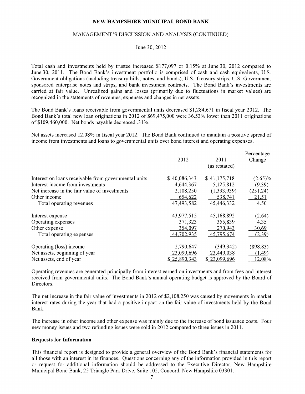#### MANAGEMENT'S DISCUSSION AND ANALYSIS (CONTINUED)

June 30, 2012

Total cash and investments held by trustee increased \$177,097 or 0.15% at June 30, 2012 compared to June 30, 2011. The Bond Bank's investment portfolio is comprised of cash and cash equivalents, U.S. Government obligations (including treasury bills, notes, and bonds), U.S. Treasury strips, U.S. Government sponsored enterprise notes and strips, and bank investment contracts. The Bond Bank's investments are carried at fair value. Unrealized gains and losses (primarily due to fluctuations in market values) are recognized in the statements of revenues, expenses and changes in net assets.

The Bond Bank's loans receivable from governmental units decreased \$1,284,671 in fiscal year 2012. The Bond Bank's total new loan originations in 2012 of \$69,475,000 were 36.53% lower than 2011 originations of\$109,460,000. Net bonds payable decreased .31%.

Net assets increased 12.08% in fiscal year 2012. The Bond Bank continued to maintain a positive spread of income from investments and loans to governmental units over bond interest and operating expenses.

|                                                      |              |               | Percentage |
|------------------------------------------------------|--------------|---------------|------------|
|                                                      | 2012         | 2011          | Change     |
|                                                      |              | (as restated) |            |
| Interest on loans receivable from governmental units | \$40,086,343 | \$41,175,718  | $(2.65)\%$ |
| Interest income from investments                     | 4,644,367    | 5,125,812     | (9.39)     |
| Net increase in the fair value of investments        | 2,108,250    | (1,393,939)   | (251.24)   |
| Other income                                         | 654,622      | 538,741       | 21.51      |
| Total operating revenues                             | 47,493,582   | 45,446,332    | 4.50       |
| Interest expense                                     | 43,977,515   | 45,168,892    | (2.64)     |
| Operating expenses                                   | 371,323      | 355,839       | 4.35       |
| Other expense                                        | 354,097      | 270,943       | 30.69      |
| Total operating expenses                             | 44,702,935   | 45,795,674    | (2.39)     |
| Operating (loss) income                              | 2,790,647    | (349, 342)    | (898.83)   |
| Net assets, beginning of year                        | 23,099,696   | 23,449,038    | (1.49)     |
| Net assets, end of year                              | \$25,890,343 | \$23,099,696  | 12.08%     |

Operating revenues are generated principally from interest earned on investments and from fees and interest received from governmental units. The Bond Bank's annual operating budget is approved by the Board of Directors.

The net increase in the fair value of investments in 2012 of \$2,108,250 was caused by movements in market interest rates during the year that had a positive impact on the fair value of investments held by the Bond Bank.

The increase in other income and other expense was mainly due to the increase of bond issuance costs. Four new money issues and two refunding issues were sold in 2012 compared to three issues in 2011.

#### **Requests for Information**

This financial report is designed to provide a general overview of the Bond Bank's financial statements for all those with an interest in its finances. Questions concerning any of the information provided in this report or request for additional information should be addressed to the Executive Director, New Hampshire Municipal Bond Bank, 25 Triangle Park Drive, Suite 102, Concord, New Hampshire 03301.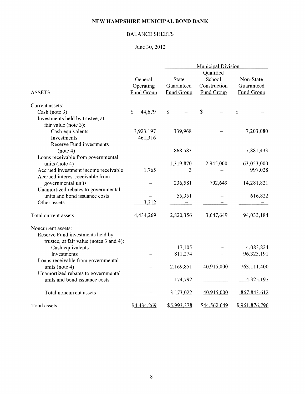## BALANCE SHEETS

## June 30, 2012

|                                         |                        |              | <b>Municipal Division</b> |                   |  |  |  |
|-----------------------------------------|------------------------|--------------|---------------------------|-------------------|--|--|--|
|                                         |                        |              | Qualified                 |                   |  |  |  |
|                                         | General                | <b>State</b> | School                    | Non-State         |  |  |  |
|                                         | Operating              | Guaranteed   | Construction              | Guaranteed        |  |  |  |
| <b>ASSETS</b>                           | <b>Fund Group</b>      | Fund Group   | <b>Fund Group</b>         | <b>Fund Group</b> |  |  |  |
| Current assets:                         |                        |              |                           |                   |  |  |  |
| Cash (note 3)                           | $\mathbb{S}$<br>44,679 | $\mathbb{S}$ | \$                        | $\mathsf{\$}$     |  |  |  |
| Investments held by trustee, at         |                        |              |                           |                   |  |  |  |
| fair value (note 3):                    |                        |              |                           |                   |  |  |  |
| Cash equivalents                        | 3,923,197              | 339,968      |                           | 7,203,080         |  |  |  |
| Investments                             | 461,316                |              |                           |                   |  |  |  |
| <b>Reserve Fund investments</b>         |                        |              |                           |                   |  |  |  |
| (note 4)                                |                        | 868,583      |                           | 7,881,433         |  |  |  |
| Loans receivable from governmental      |                        |              |                           |                   |  |  |  |
| units (note 4)                          |                        | 1,319,870    | 2,945,000                 | 63,053,000        |  |  |  |
| Accrued investment income receivable    | 1,765                  | 3            |                           | 997,028           |  |  |  |
| Accrued interest receivable from        |                        |              |                           |                   |  |  |  |
| governmental units                      |                        | 236,581      | 702,649                   | 14,281,821        |  |  |  |
| Unamortized rebates to governmental     |                        |              |                           |                   |  |  |  |
| units and bond issuance costs           |                        | 55,351       |                           | 616,822           |  |  |  |
| Other assets                            | 3,312                  |              |                           |                   |  |  |  |
|                                         |                        |              |                           |                   |  |  |  |
| Total current assets                    | 4,434,269              | 2,820,356    | 3,647,649                 | 94,033,184        |  |  |  |
| Noncurrent assets:                      |                        |              |                           |                   |  |  |  |
| Reserve Fund investments held by        |                        |              |                           |                   |  |  |  |
| trustee, at fair value (notes 3 and 4): |                        |              |                           |                   |  |  |  |
| Cash equivalents                        |                        | 17,105       |                           | 4,083,824         |  |  |  |
| Investments                             |                        | 811,274      |                           | 96,323,191        |  |  |  |
| Loans receivable from governmental      |                        |              |                           |                   |  |  |  |
| units (note $4$ )                       |                        | 2,169,851    | 40,915,000                | 763,111,400       |  |  |  |
| Unamortized rebates to governmental     |                        |              |                           |                   |  |  |  |
| units and bond issuance costs           |                        | 174,792      |                           | 4,325,197         |  |  |  |
|                                         |                        |              |                           |                   |  |  |  |
| Total noncurrent assets                 |                        | 3,173,022    | 40,915,000                | 867,843,612       |  |  |  |
| Total assets                            | \$4,434,269            | \$5,993,378  | \$44,562,649              | \$961,876,796     |  |  |  |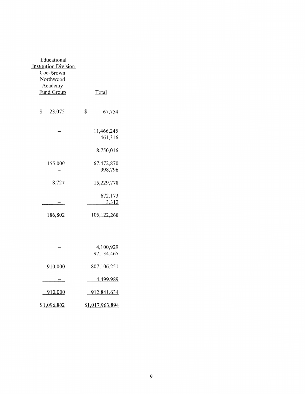| Educational<br><b>Institution Division</b><br>Coe-Brown<br>Northwood<br>Academy<br><b>Fund Group</b> | Total                   |
|------------------------------------------------------------------------------------------------------|-------------------------|
|                                                                                                      |                         |
| \$<br>23,075                                                                                         | \$<br>67,754            |
|                                                                                                      | 11,466,245<br>461,316   |
|                                                                                                      | 8,750,016               |
| 155,000                                                                                              | 67,472,870<br>998,796   |
| 8,727                                                                                                | 15,229,778              |
|                                                                                                      | 672,173<br>3,312        |
| 186,802                                                                                              | 105,122,260             |
|                                                                                                      |                         |
|                                                                                                      | 4,100,929<br>97,134,465 |
| 910,000                                                                                              | 807,106,251             |
|                                                                                                      | 4,499,989               |
| 910,000                                                                                              | 912,841,634             |
| \$1,096,802                                                                                          | \$1,017,963,894         |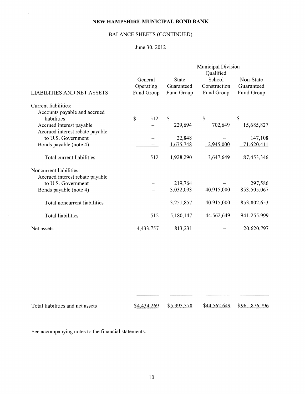## BALANCE SHEETS (CONTINUED)

## June 30, 2012

|                                   |            | <b>Municipal Division</b> |                   |                   |  |
|-----------------------------------|------------|---------------------------|-------------------|-------------------|--|
|                                   |            |                           | Qualified         |                   |  |
|                                   | General    | <b>State</b>              | School            | Non-State         |  |
|                                   | Operating  | Guaranteed                | Construction      | Guaranteed        |  |
| <b>LIABILITIES AND NET ASSETS</b> | Fund Group | <b>Fund Group</b>         | <b>Fund Group</b> | <b>Fund Group</b> |  |
| Current liabilities:              |            |                           |                   |                   |  |
| Accounts payable and accrued      |            |                           |                   |                   |  |
| liabilities                       | \$<br>512  | $\mathbb{S}$              | $\mathbb{S}$      | $\mathbb{S}$      |  |
| Accrued interest payable          |            | 229,694                   | 702,649           | 15,685,827        |  |
| Accrued interest rebate payable   |            |                           |                   |                   |  |
| to U.S. Government                |            | 22,848                    |                   | 147,108           |  |
| Bonds payable (note 4)            |            | 1,675,748                 | 2,945,000         | 71,620,411        |  |
| Total current liabilities         | 512        | 1,928,290                 | 3,647,649         | 87,453,346        |  |
| Noncurrent liabilities:           |            |                           |                   |                   |  |
| Accrued interest rebate payable   |            |                           |                   |                   |  |
| to U.S. Government                |            | 219,764                   |                   | 297,586           |  |
| Bonds payable (note 4)            |            | 3,032,093                 | 40,915,000        | 853,505,067       |  |
| Total noncurrent liabilities      |            | 3,251,857                 | 40,915,000        | 853,802,653       |  |
| <b>Total liabilities</b>          | 512        | 5,180,147                 | 44,562,649        | 941,255,999       |  |
| Net assets                        | 4,433,757  | 813,231                   |                   | 20,620,797        |  |

| Total liabilities and net assets | $$4,434,269$ $$5,993,378$ | \$44,562,649 \$961,876,796 |  |
|----------------------------------|---------------------------|----------------------------|--|

See accompanying notes to the financial statements.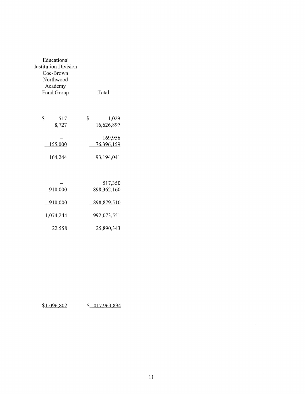| Educational<br><b>Institution Division</b><br>Coe-Brown<br>Northwood<br>Academy<br><b>Fund Group</b> | Total                               |
|------------------------------------------------------------------------------------------------------|-------------------------------------|
| \$<br>517<br>8,727                                                                                   | \$<br>1,029<br>16,626,897           |
| 155,000<br>164,244                                                                                   | 169,956<br>76,396,159<br>93,194,041 |
| 910,000                                                                                              | 517,350<br>898, 362, 160            |
| <u>910,000</u><br>1,074,244                                                                          | <u>898,879,510</u><br>992,073,551   |
| 22,558                                                                                               | 25,890,343                          |

\$1.096.802 \$1.017.963.894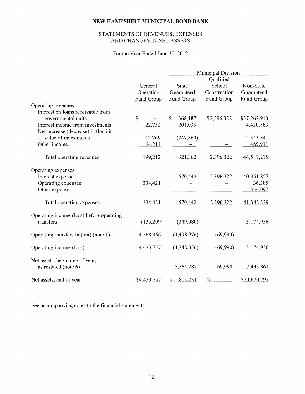## STATEMENTS OF REVENUES, EXPENSES AND CHANGES IN NET ASSETS

For the Year Ended June 30, 2012

|                                                        |                   | <b>Municipal Division</b> |               |                   |  |
|--------------------------------------------------------|-------------------|---------------------------|---------------|-------------------|--|
|                                                        |                   |                           | Qualified     |                   |  |
|                                                        | General           | <b>State</b>              | School        | Non-State         |  |
|                                                        | Operating         | Guaranteed                | Construction  | Guaranteed        |  |
|                                                        | <b>Fund Group</b> | <b>Fund Group</b>         | Fund Group    | <b>Fund Group</b> |  |
| Operating revenues:                                    |                   |                           |               |                   |  |
| Interest on loans receivable from                      |                   |                           |               |                   |  |
| governmental units                                     | \$                | $\mathbb{S}$<br>368,187   | \$2,396,322   | \$37,262,940      |  |
| Interest income from investments                       | 22,732            | 201,035                   |               | 4,420,583         |  |
| Net increase (decrease) in the fair                    |                   |                           |               |                   |  |
| value of investments                                   | 12,269            | (247, 860)                |               | 2,343,841         |  |
| Other income                                           | 164,211           |                           |               | 489,911           |  |
| Total operating revenues                               | 199,212           | 321,362                   | 2,396,322     | 44,517,275        |  |
| Operating expenses:                                    |                   |                           |               |                   |  |
| Interest expense                                       |                   | 570,442                   | 2,396,322     | 40,951,857        |  |
| Operating expenses                                     | 334,421           |                           |               | 36,385            |  |
| Other expense                                          |                   |                           |               | 354,097           |  |
| Total operating expenses                               | 334,421           | 570,442                   | 2,396,322     | 41,342,339        |  |
| Operating income (loss) before operating               |                   |                           |               |                   |  |
| transfers                                              | (135,209)         | (249,080)                 |               | 3,174,936         |  |
| Operating transfers in (out) (note 1)                  | 4,568,966         | (4,498,976)               | (69,990)      |                   |  |
| Operating income (loss)                                | 4,433,757         | (4,748,056)               | (69,990)      | 3,174,936         |  |
| Net assets, beginning of year,<br>as restated (note 6) |                   | 5,561,287                 | 69,990        | 17,445,861        |  |
| Net assets, end of year                                | \$4,433,757       | 813,231<br>\$             | $\frac{1}{2}$ | \$20,620,797      |  |

See accompanying notes to the financial statements.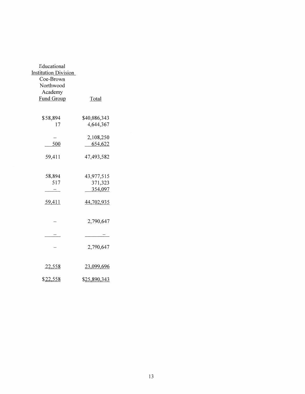| Educational                 |              |
|-----------------------------|--------------|
| <b>Institution Division</b> |              |
| Coe-Brown                   |              |
| Northwood                   |              |
| Academy                     |              |
| <b>Fund Group</b>           | <b>Total</b> |
|                             |              |
|                             |              |
| \$58,894                    | \$40,086,343 |
| 17                          | 4,644,367    |
|                             |              |
|                             | 2,108,250    |
| 500                         | 654,622      |
|                             |              |
| 59,411                      | 47,493,582   |
|                             |              |
|                             |              |
| 58,894                      | 43,977,515   |
| 517                         | 371,323      |
|                             | 354,097      |
|                             |              |
| 59,411                      | 44,702,935   |
|                             |              |
|                             |              |
|                             | 2,790,647    |
|                             |              |
|                             |              |
|                             |              |
|                             |              |
|                             | 2,790,647    |
|                             |              |
|                             |              |
| 22,558                      | 23,099,696   |
|                             |              |
| \$22,558                    | \$25,890,343 |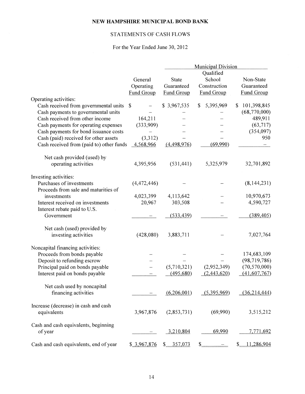## STATEMENTS OF CASH FLOWS

## For the Year Ended June 30, 2012

|                                          |                           |              | <b>Municipal Division</b> |                            |
|------------------------------------------|---------------------------|--------------|---------------------------|----------------------------|
|                                          |                           |              | Qualified                 |                            |
|                                          | General                   | <b>State</b> | School                    | Non-State                  |
|                                          | Operating                 | Guaranteed   | Construction              | Guaranteed                 |
|                                          | <b>Fund Group</b>         | Fund Group   | <b>Fund Group</b>         | <b>Fund Group</b>          |
|                                          |                           |              |                           |                            |
| Operating activities:                    |                           |              |                           |                            |
| Cash received from governmental units    | $\boldsymbol{\mathsf{S}}$ | \$3,967,535  | 5,395,969<br>\$           | 101,398,845<br>S           |
| Cash payments to governmental units      |                           |              |                           | (68,770,000)               |
| Cash received from other income          | 164,211                   |              |                           | 489,911                    |
| Cash payments for operating expenses     | (333,909)                 |              |                           | (63, 717)                  |
| Cash payments for bond issuance costs    |                           |              |                           | (354,097)                  |
| Cash (paid) received for other assets    | (3,312)                   |              |                           | 950                        |
| Cash received from (paid to) other funds | 4,568,966                 | (4,498,976)  | (69,990)                  |                            |
| Net cash provided (used) by              |                           |              |                           |                            |
| operating activities                     | 4,395,956                 | (531, 441)   | 5,325,979                 | 32,701,892                 |
| Investing activities:                    |                           |              |                           |                            |
| Purchases of investments                 | (4,472,446)               |              |                           | (8,144,231)                |
| Proceeds from sale and maturities of     |                           |              |                           |                            |
| investments                              | 4,023,399                 | 4,113,642    |                           | 10,970,673                 |
| Interest received on investments         | 20,967                    | 303,508      |                           | 4,590,727                  |
| Interest rebate paid to U.S.             |                           |              |                           |                            |
| Government                               |                           | (533, 439)   |                           | (389, 405)                 |
| Net cash (used) provided by              |                           |              |                           |                            |
| investing activities                     | (428,080)                 | 3,883,711    |                           | 7,027,764                  |
| Noncapital financing activities:         |                           |              |                           |                            |
| Proceeds from bonds payable              |                           |              |                           | 174,683,109                |
| Deposit to refunding escrow              |                           |              |                           | (98, 719, 786)             |
| Principal paid on bonds payable          |                           | (5,710,321)  | (2,952,349)               | (70, 570, 000)             |
| Interest paid on bonds payable           |                           | (495,680)    | (2,443,620)               | (41,607,767)               |
| Net cash used by noncapital              |                           |              |                           |                            |
| financing activities                     |                           | (6,206,001)  | (5,395,969)               | (36, 214, 444)             |
| Increase (decrease) in cash and cash     |                           |              |                           |                            |
| equivalents                              | 3,967,876                 | (2,853,731)  | (69,990)                  | 3,515,212                  |
| Cash and cash equivalents, beginning     |                           |              |                           |                            |
| of year                                  |                           | 3,210,804    | 69,990                    | 7,771,692                  |
| Cash and cash equivalents, end of year   | \$3,967,876               | \$357,073    | $\mathbb{S}$              | 11,286,904<br>$\mathbb{S}$ |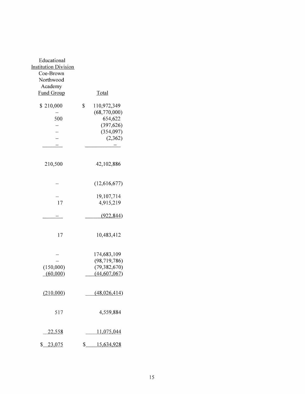| Educational<br><b>Institution Division</b><br>Coe-Brown<br>Northwood<br>Academy<br><b>Fund Group</b> | Total                                                                               |
|------------------------------------------------------------------------------------------------------|-------------------------------------------------------------------------------------|
| \$210,000<br>500                                                                                     | \$<br>110,972,349<br>(68,770,000)<br>654,622<br>(397, 626)<br>(354,097)<br>(2, 362) |
| 210,500                                                                                              | 42,102,886                                                                          |
|                                                                                                      | (12,616,677)                                                                        |
| 17                                                                                                   | 19,107,714<br>4,915,219                                                             |
|                                                                                                      | (922, 844)                                                                          |
| 17                                                                                                   | 10,483,412                                                                          |
| (150,000)<br>(60,000)                                                                                | 174,683,109<br>(98, 719, 786)<br>(79, 382, 670)<br>(44, 607, 067)                   |
| (210,000)                                                                                            | (48,026,414)                                                                        |
| 517                                                                                                  | 4,559,884                                                                           |
| 22,558                                                                                               | <u>11,075,044</u>                                                                   |
| \$23,075                                                                                             | \$15,634,928                                                                        |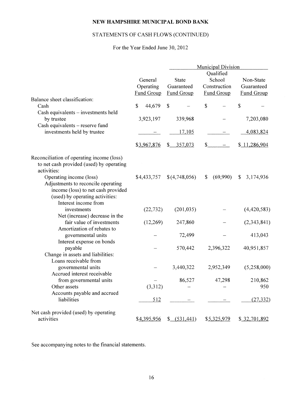## STATEMENTS OF CASH FLOWS (CONTINUED)

## For the Year Ended June 30, 2012

|                                           |                       |               | <b>Municipal Division</b> |                   |
|-------------------------------------------|-----------------------|---------------|---------------------------|-------------------|
|                                           |                       |               | Qualified                 |                   |
|                                           | General               | State         | School                    | Non-State         |
|                                           | Operating             | Guaranteed    | Construction              | Guaranteed        |
|                                           | Fund Group            | Fund Group    | Fund Group                | <b>Fund Group</b> |
| Balance sheet classification:             |                       |               |                           |                   |
| Cash                                      | $\mathbf S$<br>44,679 | $\mathbb{S}$  | \$                        | \$                |
| Cash equivalents - investments held       |                       |               |                           |                   |
| by trustee                                | 3,923,197             | 339,968       |                           | 7,203,080         |
| Cash equivalents - reserve fund           |                       |               |                           |                   |
| investments held by trustee               |                       | 17,105        |                           | 4,083,824         |
|                                           | \$3,967,876           | \$357,073     | $\mathbb{S}$              | \$11,286,904      |
| Reconciliation of operating income (loss) |                       |               |                           |                   |
| to net cash provided (used) by operating  |                       |               |                           |                   |
| activities:                               |                       |               |                           |                   |
| Operating income (loss)                   | \$4,433,757           | \$(4,748,056) | (69,990)<br>\$            | 3,174,936<br>\$   |
| Adjustments to reconcile operating        |                       |               |                           |                   |
| income (loss) to net cash provided        |                       |               |                           |                   |
| (used) by operating activities:           |                       |               |                           |                   |
| Interest income from                      |                       |               |                           |                   |
| investments                               | (22, 732)             | (201, 035)    |                           | (4,420,583)       |
| Net (increase) decrease in the            |                       |               |                           |                   |
| fair value of investments                 | (12,269)              | 247,860       |                           | (2,343,841)       |
| Amortization of rebates to                |                       |               |                           |                   |
| governmental units                        |                       | 72,499        |                           | 413,043           |
| Interest expense on bonds<br>payable      |                       | 570,442       | 2,396,322                 | 40,951,857        |
| Change in assets and liabilities:         |                       |               |                           |                   |
| Loans receivable from                     |                       |               |                           |                   |
| governmental units                        |                       | 3,440,322     | 2,952,349                 | (5,258,000)       |
| Accrued interest receivable               |                       |               |                           |                   |
| from governmental units                   |                       | 86,527        | 47,298                    | 210,862           |
| Other assets                              | (3,312)               |               |                           | 950               |
| Accounts payable and accrued              |                       |               |                           |                   |
| liabilities                               | 512                   |               |                           | (27, 332)         |
| Net cash provided (used) by operating     |                       |               |                           |                   |
| activities                                | \$4,395,956           | $$-(531,441)$ | \$5,325,979               | \$32,701,892      |

See accompanying notes to the financial statements.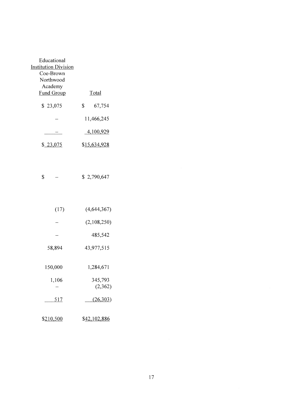| Educational          |                      |
|----------------------|----------------------|
| Institution Division |                      |
| Coe-Brown            |                      |
| Northwood            |                      |
| Academy              |                      |
| <b>Fund Group</b>    | Total                |
| \$23,075             | \$<br>67,754         |
|                      | 11,466,245           |
|                      | 4,100,929            |
| 23.U                 | \$ <u>15,634,928</u> |

|  | $\boldsymbol{\mathsf{S}}$ |  |  | \$2,790,647 |
|--|---------------------------|--|--|-------------|
|--|---------------------------|--|--|-------------|

| (17)       | (4, 644, 367)      |
|------------|--------------------|
|            | (2,108,250)        |
|            | 485,542            |
| 58,894     | 43,977,515         |
| 150,000    | 1,284,671          |
| 1,106      | 345,793<br>(2,362) |
| <u>517</u> | (26, 303)          |
| \$210,500  | \$42,102,886       |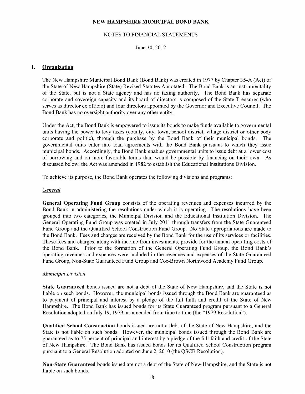#### NOTES TO FINANCIAL STATEMENTS

June 30, 2012

#### 1. Organization

The New Hampshire Municipal Bond Bank (Bond Bank) was created in 1977 by Chapter 35-A (Act) of the State of New Hampshire (State) Revised Statutes Annotated. The Bond Bank is an instrumentality of the State, but is not a State agency and has no taxing authority. The Bond Bank has separate corporate and sovereign capacity and its board of directors is composed of the State Treasurer (who serves as director ex officio) and four directors appointed by the Governor and Executive Council. The Bond Bank has no oversight authority over any other entity.

Under the Act, the Bond Bank is empowered to issue its bonds to make funds available to governmental units having the power to levy taxes (county, city, town, school district, village district or other body corporate and politic), through the purchase by the Bond Bank of their municipal bonds. The governmental units enter into Joan agreements with the Bond Bank pursuant to which they issue municipal bonds. Accordingly, the Bond Bank enables governmental units to issue debt at a lower cost of borrowing and on more favorable terms than would be possible by financing on their own. As discussed below, the Act was amended in 1982 to establish the Educational Institutions Division.

To achieve its purpose, the Bond Bank operates the following divisions and programs:

#### *General*

General Operating Fund Group consists of the operating revenues and expenses incurred by the Bond Bank in administering the resolutions under which it is operating. The resolutions have been grouped into two categories, the Municipal Division and the Educational Institution Division. The General Operating Fund Group was created in July 2011 through transfers from the State Guaranteed Fund Group and the Qualified School Construction Fund Group. No State appropriations are made to the Bond Bank. Fees and charges are received by the Bond Bank for the use of its services or facilities. These fees and charges, along with income from investments, provide for the annual operating costs of the Bond Bank. Prior to the formation of the General Operating Fund Group, the Bond Bank's operating revenues and expenses were included in the revenues and expenses of the State Guaranteed Fund Group, Non-State Guaranteed Fund Group and Coe-Brown Northwood Academy Fund Group.

#### *Municipal Division*

State Guaranteed bonds issued are not a debt of the State of New Hampshire, and the State is not liable on such bonds. However, the municipal bonds issued through the Bond Bank are guaranteed as to payment of principal and interest by a pledge of the full faith and credit of the State of New Hampshire. The Bond Bank has issued bonds for its State Guaranteed program pursuant to a General Resolution adopted on July 19, 1979, as amended from time to time (the "1979 Resolution").

Qualified School Construction bonds issued are not a debt of the State of New Hampshire, and the State is not liable on such bonds. However, the municipal bonds issued through the Bond Bank are guaranteed as to 75 percent of principal and interest by a pledge of the full faith and credit of the State of New Hampshire. The Bond Bank has issued bonds for its Qualified School Construction program pursuant to a General Resolution adopted on June 2, 2010 (the QSCB Resolution).

Non-State Guaranteed bonds issued are not a debt of the State of New Hampshire, and the State is not liable on such bonds.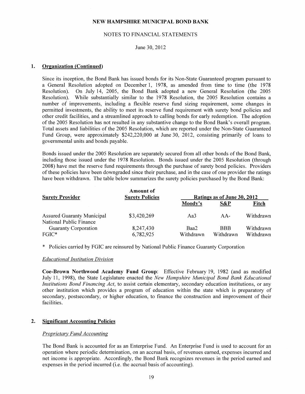#### NOTES TO FINANCIAL STATEMENTS

#### June 30, 2012

#### **1. Organization (Continued)**

Since its inception, the Bond Bank has issued bonds for its Non-State Guaranteed program pursuant to a General Resolution adopted on December 1, 1978, as amended from time to time (the 1978 Resolution). On July 14, 2005, the Bond Bank adopted a new General Resolution (the 2005 Resolution). While substantially similar to the 1978 Resolution, the 2005 Resolution contains a number of improvements, including a flexible reserve fund sizing requirement, some changes in permitted investments, the ability to meet its reserve fund requirement with surety bond policies and other credit facilities, and a streamlined approach to calling bonds for early redemption. The adoption of the 2005 Resolution has not resulted in any substantive change to the Bond Bank's overall program. Total assets and liabilities of the 2005 Resolution, which are reported under the Non-State Guaranteed Fund Group, were approximately \$242,220,000 at June 30, 2012, consisting primarily of loans to governmental units and bonds payable.

Bonds issued under the 2005 Resolution are separately secured from all other bonds of the Bond Bank, including those issued under the 1978 Resolution. Bonds issued under the 2005 Resolution (through 2008) have met the reserve fund requirements through the purchase of surety bond policies. Providers of these policies have been downgraded since their purchase, and in the case of one provider the ratings have been withdrawn. The table below summarizes the surety policies purchased by the Bond Bank:

| <b>Surety Provider</b>                                       | <b>Amount of</b><br><b>Surety Policies</b> | Ratings as of June 30, 2012 |                         |                        |  |  |
|--------------------------------------------------------------|--------------------------------------------|-----------------------------|-------------------------|------------------------|--|--|
|                                                              |                                            | Moody's                     | S&P                     | Fitch                  |  |  |
| <b>Assured Guaranty Municipal</b><br>National Public Finance | \$3,420,269                                | Aa3                         | $AA-$                   | Withdrawn              |  |  |
| <b>Guaranty Corporation</b><br>$FGIC^*$                      | 8,247,430<br>6,782,925                     | Baa2<br>Withdrawn           | <b>BBB</b><br>Withdrawn | Withdrawn<br>Withdrawn |  |  |

\* Policies carried by FGIC are reinsured by National Public Finance Guaranty Corporation

#### *Educational Institution Division*

**Coe-Brown Northwood Academy Fund Group:** Effective February 19, 1982 (and as modified July 11, 1998), the State Legislature enacted the *New Hampshire Municipal Bond Bank Educational Institutions Bond Financing Act,* to assist certain elementary, secondary education institutions, or any other institution which provides a program of education within the state which is preparatory of secondary, postsecondary, or higher education, to finance the construction and improvement of their facilities.

#### **2. Significant Accounting Policies**

#### *Proprietary Fund Accounting*

The Bond Bank is accounted for as an Enterprise Fund. An Enterprise Fund is used to account for an operation where periodic determination, on an accrual basis, of revenues earned, expenses incurred and net income is appropriate. Accordingly, the Bond Bank recognizes revenues in the period earned and expenses in the period incurred (i.e. the accrual basis of accounting).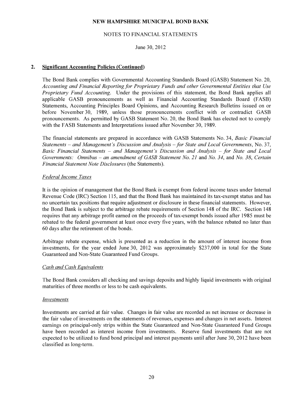#### NOTES TO FINANCIAL STATEMENTS

June 30,2012

#### **2. Significant Accounting Policies (Continued)**

The Bond Bank complies with Governmental Accounting Standards Board (GASB) Statement No. 20, *Accounting and Financial Reporting for Proprietary Funds and other Governmental Entities that Use Proprietary Fund Accounting.* Under the provisions of this statement, the Bond Bank applies all applicable GASB pronouncements as well as Financial Accounting Standards Board (FASB) Statements, Accounting Principles Board Opinions, and Accounting Research Bulletins issued on or before November 30, 1989, unless those pronouncements conflict with or contradict GASB pronouncements. As permitted by GASB Statement No. 20, the Bond Bank has elected not to comply with the FASB Statements and Interpretations issued after November 30, 1989.

The financial statements are prepared in accordance with GASB Statements No. 34, *Basic Financial Statements- and Management's Discussion and Analysis -for State and Local Governments,* No. 37, *Basic Financial Statements* - *and Management's Discussion and Analysis* - *for State and Local Governments: Omnibus- an amendment ofGASB Statement No. 21* and *No. 34,* and *No. 38, Certain Financial Statement Note Disclosures* (the Statements).

#### *Federal Income Taxes*

It is the opinion of management that the Bond Bank is exempt from federal income taxes under Internal Revenue Code (IRC) Section 115, and that the Bond Bank has maintained its tax-exempt status and has no uncertain tax positions that require adjustment or disclosure in these financial statements. However, the Bond Bank is subject to the arbitrage rebate requirements of Section 148 of the IRC. Section 148 requires that any arbitrage profit earned on the proceeds of tax-exempt bonds issued after 1985 must be rebated to the federal government at least once every five years, with the balance rebated no later than 60 days after the retirement of the bonds.

Arbitrage rebate expense, which is presented as a reduction in the amount of interest income from investments, for the year ended June 30, 2012 was approximately \$237,000 in total for the State Guaranteed and Non-State Guaranteed Fund Groups.

#### *Cash and Cash Equivalents*

The Bond Bank considers all checking and savings deposits and highly liquid investments with original maturities of three months or less to be cash equivalents.

#### *Investments*

Investments are carried at fair value. Changes in fair value are recorded as net increase or decrease in the fair value of investments on the statements of revenues, expenses and changes in net assets. Interest earnings on principal-only strips within the State Guaranteed and Non-State Guaranteed Fund Groups have been recorded as interest income from investments. Reserve fund investments that are not expected to be utilized to fund bond principal and interest payments until after June 30, 2012 have been classified as long-term.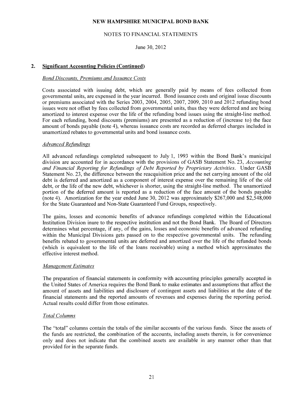#### NOTES TO FINANCIAL STATEMENTS

June 30, 2012

#### **2. Significant Accounting Policies (Continued)**

#### *Bond Discounts, Premiums and Issuance Costs*

Costs associated with issuing debt, which are generally paid by means of fees collected from governmental units, are expensed in the year incurred. Bond issuance costs and original issue discounts or premiums associated with the Series 2003, 2004, 2005, 2007, 2009, 2010 and 2012 refunding bond issues were not offset by fees collected from governmental units, thus they were deferred and are being amortized to interest expense over the life of the refunding bond issues using the straight-line method. For each refunding, bond discounts (premiums) are presented as a reduction of (increase to) the face amount of bonds payable (note 4), whereas issuance costs are recorded as deferred charges included in unamortized rebates to governmental units and bond issuance costs.

#### Advanced Refundings

All advanced refundings completed subsequent to July **1,** 1993 within the Bond Bank's municipal division are accounted for in accordance with the provisions of GASB Statement No. 23, *Accounting and Financial Reporting for Refundings of Debt Reported by Proprietary Activities.* Under GASB Statement No. 23, the difference between the reacquisition price and the net carrying amount of the old debt is deferred and amortized as a component of interest expense over the remaining life of the old debt, or the life of the new debt, whichever is shorter, using the straight-line method. The unamortized portion of the deferred amount is reported as a reduction of the face amount of the bonds payable (note 4). Amortization for the year ended June 30, 2012 was approximately \$267,000 and \$2,548,000 for the State Guaranteed and Non-State Guaranteed Fund Groups, respectively.

The gains, losses and economic benefits of advance refundings completed within the Educational Institution Division inure to the respective institution and not the Bond Bank. The Board of Directors determines what percentage, if any, of the gains, losses and economic benefits of advanced refunding within the Municipal Divisions gets passed on to the respective governmental units. The refunding benefits rebated to governmental units are deferred and amortized over the life of the refunded bonds (which is equivalent to the life of the loans receivable) using a method which approximates the effective interest method.

#### *Management Estimates*

The preparation of financial statements in conformity with accounting principles generally accepted in the United States of America requires the Bond Bank to make estimates and assumptions that affect the amount of assets and liabilities and disclosure of contingent assets and liabilities at the date of the financial statements and the reported amounts of revenues and expenses during the reporting period. Actual results could differ from those estimates.

#### *Total Columns*

The "total" columns contain the totals of the similar accounts of the various funds. Since the assets of the funds are restricted, the combination of the accounts, including assets therein, is for convenience only and does not indicate that the combined assets are available in any manner other than that provided for in the separate funds.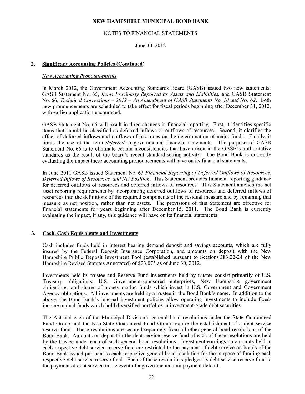#### NOTES TO FINANCIAL STATEMENTS

June 30, 2012

#### **2. Significant Accounting Policies (Continued)**

#### *New Accounting Pronouncements*

In March 2012, the Government Accounting Standards Board (GASB) issued two new statements: GASB Statement No. 65, *Items Previously Reported as Assets and Liabilities,* and GASB Statement No. 66, *Technical Corrections - 2012 - An Amendment of GASB Statements No. 10 and No. 62.* Both new pronouncements are scheduled to take effect for fiscal periods beginning after December 31, 2012, with earlier application encouraged.

GASB Statement No. 65 will result in three changes in financial reporting. First, it identifies specific items that should be classified as deferred inflows or outflows of resources. Second, it clarifies the effect of deferred inflows and outflows of resources on the determination of major funds. Finally, it limits the use of the term *deferred* in governmental financial statements. The purpose of GASB Statement No. 66 is to eliminate certain inconsistencies that have arisen in the GASB's authoritative standards as the result of the board's recent standard-setting activity. The Bond Bank is currently evaluating the impact these accounting pronouncements will have on its financial statements.

In June 2011 GASB issued Statement No. 63 *Financial Reporting of Deferred Outflows of Resources, Deferred Inflows of Resources, and Net Position.* This Statement provides financial reporting guidance for deferred outflows of resources and deferred inflows of resources. This Statement amends the net asset reporting requirements by incorporating deferred outflows of resources and deferred inflows of resources into the definitions of the required components of the residual measure and by renaming that measure as net position, rather than net assets. The provisions of this Statement are effective for financial statements for years beginning after December 15, 2011. The Bond Bank is currently evaluating the impact, if any, this guidance will have on its financial statements.

#### **3. Cash, Cash Equivalents and Investments**

Cash includes funds held in interest bearing demand deposit and savings accounts, which are fully insured by the Federal Deposit Insurance Corporation, and amounts on deposit with the New Hampshire Public Deposit Investment Pool (established pursuant to Sections 383:22-24 of the New Hampshire Revised Statutes Annotated) of \$23,075 as of June 30, 2012.

Investments held by trustee and Reserve Fund investments held by trustee consist primarily of U.S. Treasury obligations, U.S. Government-sponsored enterprises, New Hampshire government obligations, and shares of money market funds which invest in U.S. Government and Government Agency obligations. All investments are held by a trustee in the Bond Bank's name. In addition to the above, the Bond Bank's internal investment policies allow operating investments to include fixedincome mutual funds which hold diversified portfolios in investment-grade debt securities.

The Act and each of the Municipal Division's general bond resolutions under the State Guaranteed Fund Group and the Non-State Guaranteed Fund Group require the establishment of a debt service reserve fund. These resolutions are secured separately from all other general bond resolutions of the Bond Bank. Amounts on deposit in the debt service reserve fund of each of these resolutions are held by the trustee under each of such general bond resolutions. Investment earnings on amounts held in each respective debt service reserve fund are restricted to the payment of debt service on bonds of the Bond Bank issued pursuant to each respective general bond resolution for the purpose of funding each respective debt service reserve fund. Each of these resolutions pledges its debt service reserve fund to the payment of debt service in the event of a governmental unit payment default.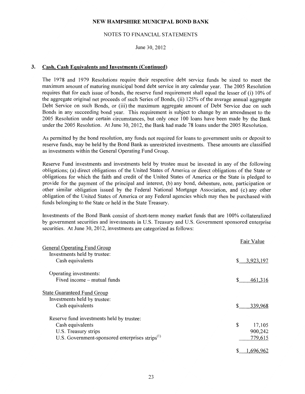### NOTES TO FINANCIAL STATEMENTS

June 30, 2012

#### 3. Cash, Cash Equivalents and Investments (Continued)

The 1978 and 1979 Resolutions require their respective debt service funds be sized to meet the maximum amount of maturing municipal bond debt service in any calendar year. The 2005 Resolution requires that for each issue of bonds, the reserve fund requirement shall equal the lesser of (i) 10% of the aggregate original net proceeds of such Series of Bonds, (ii) 125% of the average annual aggregate Debt Service on such Bonds, or (iii) the maximum aggregate amount of Debt Service due on such Bonds in any succeeding bond year. This requirement is subject to change by an amendment to the 2005 Resolution under certain circumstances, but only once 100 loans have been made by the Bank under the 2005 Resolution. At June 30, 2012, the Bank had made 78 loans under the 2005 Resolution.

As permitted by the bond resolution, any funds not required for loans to government units or deposit to reserve funds, may be held by the Bond Bank as unrestricted investments. These amounts are classified as investments within the General Operating Fund Group.

Reserve Fund investments and investments held by trustee must be invested in any of the following obligations; (a) direct obligations of the United States of America or direct obligations of the State or obligations for which the faith and credit of the United States of America or the State is pledged to provide for the payment of the principal and interest, (b) any bond, debenture, note, participation or other similar obligation issued by the Federal National Mortgage Association, and (c) any other obligation of the United States of America or any Federal agencies which may then be purchased with funds belonging to the State or held in the State Treasury.

Investments of the Bond Bank consist of short-term money market funds that are 100% collateralized by government securities and investments in U.S. Treasury and U.S. Government sponsored enterprise securities. At June 30, 2012, investments are categorized as follows:

|                                                                                         | Fair Value     |
|-----------------------------------------------------------------------------------------|----------------|
| <b>General Operating Fund Group</b><br>Investments held by trustee:<br>Cash equivalents | \$ 3.923,197   |
| Operating investments:<br>Fixed income – mutual funds                                   | \$<br>461,316  |
| <b>State Guaranteed Fund Group</b><br>Investments held by trustee:                      |                |
| Cash equivalents<br>Reserve fund investments held by trustee:                           | \$.<br>339,968 |
| Cash equivalents                                                                        | \$<br>17,105   |
| U.S. Treasury strips                                                                    | 900,242        |
| U.S. Government-sponsored enterprises strips <sup>(1)</sup>                             | 779,615        |
|                                                                                         | 1,696,962      |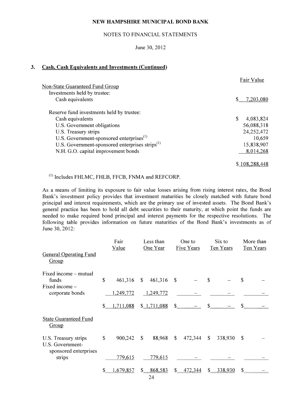#### NOTES TO FINANCIAL STATEMENTS

June 30, 2012

#### 3. Cash, Cash Equivalents and Investments (Continued)

|                                                             | Fair Value     |
|-------------------------------------------------------------|----------------|
| <b>Non-State Guaranteed Fund Group</b>                      |                |
| Investments held by trustee:                                |                |
| Cash equivalents                                            | $$-.7,203,080$ |
| Reserve fund investments held by trustee:                   |                |
| Cash equivalents                                            | 4,083,824      |
| U.S. Government obligations                                 | 56,088,318     |
| U.S. Treasury strips                                        | 24,252,472     |
| U.S. Government-sponsored enterprises <sup>(1)</sup>        | 10,659         |
| U.S. Government-sponsored enterprises strips <sup>(1)</sup> | 15,838,907     |
| N.H. G.O. capital improvement bonds                         | 8,014,268      |
|                                                             | \$108,288,448  |

 $(1)$  Includes FHLMC, FHLB, FFCB, FNMA and REFCORP.

As a means of limiting its exposure to fair value losses arising from rising interest rates, the Bond Bank's investment policy provides that investment maturities be closely matched with future bond principal and interest requirements, which are the primary use of invested assets. The Bond Bank's general practice has been to hold all debt securities to their maturity, at which point the funds are needed to make required bond principal and interest payments for the respective resolutions. The following table provides information on future maturities of the Bond Bank's investments as of June 30, 2012:

|                                                                   |              | Fair<br>Value | Less than<br>One to<br>One Year<br><b>Five Years</b> |             | Six to<br>Ten Years |                  | More than<br>Ten Years |              |               |  |
|-------------------------------------------------------------------|--------------|---------------|------------------------------------------------------|-------------|---------------------|------------------|------------------------|--------------|---------------|--|
| <b>General Operating Fund</b><br>Group                            |              |               |                                                      |             |                     |                  |                        |              |               |  |
| Fixed income – mutual<br>funds                                    | \$           | 461,316       | $\mathbb{S}$                                         | 461,316     | <sup>\$</sup>       |                  | \$                     |              | \$            |  |
| Fixed income -<br>corporate bonds                                 |              | 1,249,772     |                                                      | 1,249,772   |                     |                  |                        |              |               |  |
|                                                                   | \$_          | 1,711,088     |                                                      | \$1,711,088 |                     | $\frac{\ }{s}$ - |                        | $\mathbb{S}$ | <sup>\$</sup> |  |
| <b>State Guaranteed Fund</b><br>Group                             |              |               |                                                      |             |                     |                  |                        |              |               |  |
| U.S. Treasury strips<br>U.S. Government-<br>sponsored enterprises | $\mathbb{S}$ | 900,242       | $\mathcal{S}$                                        | 88,968      | $\mathbb{S}$        | 472,344          | $\mathbb{S}$           | 338,930      | $\mathcal{S}$ |  |
| strips                                                            |              | 779,615       |                                                      | 779,615     |                     |                  |                        |              |               |  |
|                                                                   | \$           | ,679,857      | $S_{-}$                                              | 868,583     | $\mathbb{S}^-$      | 472,344          |                        | 338,930      | \$            |  |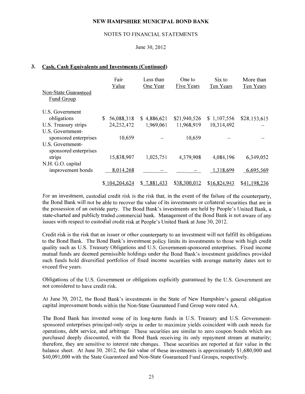#### NOTES TO FINANCIAL STATEMENTS

#### June 30, 2012

#### **3. Cash, Cash Equivalents and Investments (Continued)**

|                                           | Fair<br>Value    | Less than<br>One Year | One to<br>Five Years | Six to<br>Ten Years | More than<br>Ten Years |
|-------------------------------------------|------------------|-----------------------|----------------------|---------------------|------------------------|
| Non-State Guaranteed<br>Fund Group        |                  |                       |                      |                     |                        |
| U.S. Government                           |                  |                       |                      |                     |                        |
| obligations                               | \$<br>56,088,318 | \$4,886,621           | \$21,940,526         | \$1,107,556         | \$28,153,615           |
| U.S. Treasury strips                      | 24,252,472       | 1,969,061             | 11,968,919           | 10,314,492          |                        |
| U.S. Government-<br>sponsored enterprises | 10,659           |                       | 10,659               |                     |                        |
| U.S. Government-<br>sponsored enterprises |                  |                       |                      |                     |                        |
| strips                                    | 15,838,907       | 1,025,751             | 4,379,908            | 4,084,196           | 6,349,052              |
| N.H. G.O. capital                         |                  |                       |                      |                     |                        |
| improvement bonds                         | 8,014,268        |                       |                      | 1,318,699           | 6,695,569              |
|                                           | \$104,204,624    | \$7,881,433           | \$38,300,012         | \$16,824,943        | \$41,198,236           |

For an investment, custodial credit risk is the risk that, in the event of the failure of the counterparty, the Bond Bank will not be able to recover the value of its investments or collateral securities that are in the possession of an outside party. The Bond Bank's investments are held by People's United Bank, a state-charted and publicly traded commercial bank. Management of the Bond Bank is not aware of any issues with respect to custodial credit risk at People's United Bank at June 30, 2012.

Credit risk is the risk that an issuer or other counterparty to an investment will not fulfill its obligations to the Bond Bank. The Bond Bank's investment policy limits its investments to those with high credit quality such as U.S. Treasury Obligations and U.S. Government-sponsored enterprises. Fixed income mutual funds are deemed permissible holdings under the Bond Bank's investment guidelines provided such funds hold diversified portfolios of fixed income securities with average maturity dates not to exceed five years.

Obligations of the U.S. Government or obligations explicitly guaranteed by the U.S. Government are not considered to have credit risk.

At June 30, 2012, the Bond Bank's investments in the State of New Hampshire's general obligation capital improvement bonds within the Non-State Guaranteed Fund Group were rated AA.

The Bond Bank has invested some of its long-term funds in U.S. Treasury and U.S. Governmentsponsored enterprises principal-only strips in order to maximize yields coincident with cash needs for operations, debt service, and arbitrage. These securities are similar to zero coupon bonds which are purchased deeply discounted, with the Bond Bank receiving its only repayment stream at maturity; therefore, they are sensitive to interest rate changes. These securities are reported at fair value in the balance sheet. At June 30, 2012, the fair value of these investments is approximately \$1,680,000 and \$40,091,000 with the State Guaranteed and Non-State Guaranteed Fund Groups, respectively.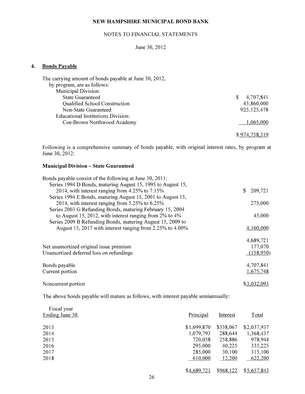#### NOTES TO FINANCIAL STATEMENTS

## June 30, 2012

#### 4. Bonds Payable

| 4,707,841<br>S. |
|-----------------|
| 43,860,000      |
| 925, 125, 478   |
|                 |
| 1,065,000       |
| \$974,758,319   |
|                 |

Following is a comprehensive summary of bonds payable, with original interest rates, by program at June 30, 2012:

#### Municipal Division - State Guaranteed

| Bonds payable consist of the following at June 30, 2011:      |               |
|---------------------------------------------------------------|---------------|
| Series 1994 D Bonds, maturing August 15, 1995 to August 15,   |               |
| 2014, with interest ranging from 4.25% to 7.15%               | 209,721<br>S. |
| Series 1994 E Bonds, maturing August 15, 2001 to August 15,   |               |
| 2014, with interest ranging from 5.25% to 6.25%               | 275,000       |
| Series 2003 G Refunding Bonds, maturing February 15, 2004     |               |
| to August 15, 2012, with interest ranging from $2\%$ to $4\%$ | 45,000        |
| Series 2009 B Refunding Bonds, maturing August 15, 2009 to    |               |
| August 15, 2017 with interest ranging from 2.25% to 4.00%     | 4,160,000     |
|                                                               |               |
|                                                               | 4,689,721     |
| Net unamortized original issue premium                        | 177,070       |
| Unamortized deferred loss on refundings                       | (158,950)     |
|                                                               |               |
| Bonds payable                                                 | 4,707,841     |
| Current portion                                               | 1,675,748     |
|                                                               |               |
| Noncurrent portion                                            | \$3,032,093   |

The above bonds payable will mature as follows, with interest payable semiannually:

| Fiscal year<br>Ending June 30, | Principal   | Interest  | Total       |
|--------------------------------|-------------|-----------|-------------|
| 2013                           | \$1,699,870 | \$338,067 | \$2,037,937 |
| 2014                           | 1,079,793   | 288,644   | 1,368,437   |
| 2015                           | 720,058     | 258,886   | 978,944     |
| 2016                           | 295,000     | 40,225    | 335,225     |
| 2017                           | 285,000     | 30,100    | 315,100     |
| 2018                           | 610,000     | 12,200    | 622,200     |
|                                | \$4,689,721 | \$968,122 | \$5,657,843 |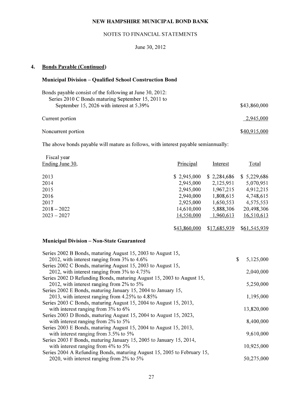### NOTES TO FINANCIAL STATEMENTS

### June 30, 2012

## **4. Bonds Payable (Continued)**

### **Municipal Division - Qualified School Construction Bond**

| Bonds payable consist of the following at June 30, 2012: |              |
|----------------------------------------------------------|--------------|
| Series 2010 C Bonds maturing September 15, 2011 to       |              |
| September 15, 2026 with interest at 5.39%                | \$43,860,000 |
|                                                          |              |
| Current portion                                          | 2,945,000    |
|                                                          |              |
| Noncurrent portion                                       | \$40,915,000 |

The above bonds payable will mature as follows, with interest payable semiannually:

| Fiscal year<br>Ending June 30, | Principal   | Interest    | Total       |
|--------------------------------|-------------|-------------|-------------|
| 2013                           | \$2,945,000 | \$2,284,686 | \$5,229,686 |
| 2014                           | 2,945,000   | 2,125,951   | 5,070,951   |
| 2015                           | 2,945,000   | 1,967,215   | 4,912,215   |
| 2016                           | 2,940,000   | 1,808,615   | 4,748,615   |
| 2017                           | 2,925,000   | 1,650,553   | 4,575,553   |
| $2018 - 2022$                  | 14,610,000  | 5,888,306   | 20,498,306  |
| $2023 - 2027$                  | 14,550,000  | 1,960,613   | 16,510,613  |
|                                |             |             |             |

\$<u>43,860,000</u> \$17,685,939 \$61,545,939

#### **Municipal Division- Non-State Guaranteed**

| Series 2002 B Bonds, maturing August 15, 2003 to August 15,             |                 |
|-------------------------------------------------------------------------|-----------------|
| 2012, with interest ranging from $3\%$ to 4.6%                          | \$<br>5,125,000 |
| Series 2002 C Bonds, maturing August 15, 2003 to August 15,             |                 |
| 2012, with interest ranging from 3% to 4.75%                            | 2,040,000       |
| Series 2002 D Refunding Bonds, maturing August 15, 2003 to August 15,   |                 |
| 2012, with interest ranging from 2% to 5%                               | 5,250,000       |
| Series 2002 E Bonds, maturing January 15, 2004 to January 15,           |                 |
| 2013, with interest ranging from 4.25% to 4.85%                         | 1,195,000       |
| Series 2003 C Bonds, maturing August 15, 2004 to August 15, 2013,       |                 |
| with interest ranging from $3\%$ to $6\%$                               | 13,820,000      |
| Series 2003 D Bonds, maturing August 15, 2004 to August 15, 2023,       |                 |
| with interest ranging from $2\%$ to 5%                                  | 8,400,000       |
| Series 2003 E Bonds, maturing August 15, 2004 to August 15, 2013,       |                 |
| with interest ranging from $3.5\%$ to $5\%$                             | 9,610,000       |
| Series 2003 F Bonds, maturing January 15, 2005 to January 15, 2014,     |                 |
| with interest ranging from 4% to 5%                                     | 10,925,000      |
| Series 2004 A Refunding Bonds, maturing August 15, 2005 to February 15, |                 |
| 2020, with interest ranging from 2% to 5%                               | 50,275,000      |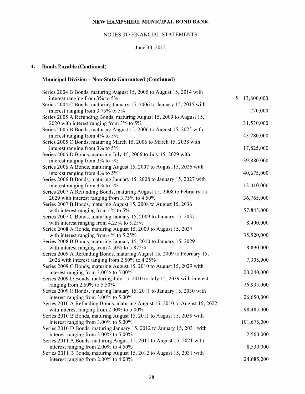## NOTES TO FINANCIAL STATEMENTS

## June 30, 2012

## **4. Bonds Payable (Continued)**

## **Municipal Division- Non-State Guaranteed (Continued)**

| Series 2004 B Bonds, maturing August 15, 2005 to August 15, 2014 with      |                  |
|----------------------------------------------------------------------------|------------------|
| interest ranging from 3% to 5%                                             | \$<br>13,800,000 |
| Series 2004 C Bonds, maturing January 15, 2006 to January 15, 2015 with    |                  |
| interest ranging from 3.75% to 5%                                          | 770,000          |
| Series 2005 A Refunding Bonds, maturing August 15, 2009 to August 15,      |                  |
| 2020 with interest ranging from 3% to 5%                                   | 31,530,000       |
| Series 2005 B Bonds, maturing August 15, 2006 to August 15, 2025 with      |                  |
| interest ranging from 4% to 5%                                             | 43,280,000       |
| Series 2005 C Bonds, maturing March 15, 2006 to March 15, 2028 with        |                  |
| interest ranging from 3% to 5%                                             | 17,825,000       |
| Series 2005 D Bonds, maturing July 15, 2006 to July 15, 2029 with          |                  |
| interest ranging from 3% to 5%                                             | 39,880,000       |
| Series 2006 A Bonds, maturing August 15, 2007 to August 15, 2026 with      |                  |
| interest ranging from 4% to 5%                                             | 40,675,000       |
| Series 2006 B Bonds, maturing January 15, 2008 to January 15, 2027 with    |                  |
| interest ranging from 4% to 5%                                             | 13,010,000       |
| Series 2007 A Refunding Bonds, maturing August 15, 2008 to February 15,    |                  |
| 2029 with interest ranging from 3.75% to 4.50%                             | 36,765,000       |
| Series 2007 B Bonds, maturing August 15, 2008 to August 15, 2036           |                  |
| with interest ranging from 4% to 5%                                        | 57,845,000       |
| Series 2007 C Bonds, maturing January 15, 2009 to January 15, 2037         |                  |
| with interest ranging from 4.25% to 5.25%                                  | 8,400,000        |
| Series 2008 A Bonds, maturing August 15, 2009 to August 15, 2037           |                  |
| with interest ranging from $4\%$ to 5.25%                                  | 35,520,000       |
| Series 2008 B Bonds, maturing January 15, 2010 to January 15, 2029         |                  |
| with interest ranging from 4.50% to 5.875%                                 | 8,890,000        |
| Series 2009 A Refunding Bonds, maturing August 15, 2009 to February 15,    |                  |
| 2026 with interest ranging from 2.50% to 4.25%                             | 7,305,000        |
| Series 2009 C Bonds, maturing August 15, 2010 to August 15, 2029 with      |                  |
| interest ranging from 3.00% to 5.00%                                       | 20,240,000       |
| Series 2009 D Bonds, maturing July 15, 2010 to July 15, 2039 with interest |                  |
| ranging from $2.50\%$ to $5.50\%$                                          | 26,935,000       |
| Series 2009 E Bonds, maturing January 15, 2011 to January 15, 2030 with    |                  |
| interest ranging from 3.00% to 5.00%                                       | 26,650,000       |
| Series 2010 A Refunding Bonds, maturing August 15, 2010 to August 15, 2022 |                  |
| with interest ranging from 2.00% to 5.00%                                  | 98,485,000       |
| Series 2010 B Bonds, maturing August 15, 2011 to August 15, 2039 with      |                  |
| interest ranging from 3.00% to 5.00%                                       | 101,675,000      |
| Series 2010 D Bonds, maturing January 15, 2012 to January 15, 2031 with    |                  |
| interest ranging from 3.00% to 5.00%                                       | 2,560,000        |
| Series 2011 A Bonds, maturing August 15, 2011 to August 15, 2021 with      |                  |
| interest ranging from 2.00% to 4.50%                                       | 8,530,000        |
| Series 2011 B Bonds, maturing August 15, 2012 to August 15, 2031 with      |                  |
| interest ranging from 2.00% to 4.00%                                       | 24,685,000       |
|                                                                            |                  |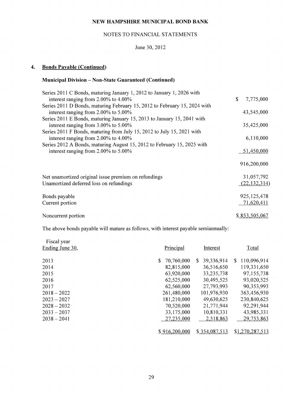### NOTES TO FINANCIAL STATEMENTS

## June 30, 2012

## **4. Bonds Payable (Continued)**

## **Municipal Division- Non-State Guaranteed (Continued)**

| Series 2011 C Bonds, maturing January 1, 2012 to January 1, 2026 with     |                 |
|---------------------------------------------------------------------------|-----------------|
| interest ranging from $2.00\%$ to $4.00\%$                                | \$<br>7,775,000 |
| Series 2011 D Bonds, maturing February 15, 2012 to February 15, 2024 with |                 |
| interest ranging from $2.00\%$ to $5.00\%$                                | 43,545,000      |
| Series 2011 E Bonds, maturing January 15, 2013 to January 15, 2041 with   |                 |
| interest ranging from $3.00\%$ to $5.00\%$                                | 35,425,000      |
| Series 2011 F Bonds, maturing from July 15, 2012 to July 15, 2021 with    |                 |
| interest ranging from $2.00\%$ to $4.00\%$                                | 6,110,000       |
| Series 2012 A Bonds, maturing August 15, 2012 to February 15, 2025 with   |                 |
| interest ranging from $2.00\%$ to $5.00\%$                                | 51,450,000      |
|                                                                           |                 |
|                                                                           | 916,200,000     |
|                                                                           |                 |
| Net unamortized original issue premium on refundings                      | 31,057,792      |
| Unamortized deferred loss on refundings                                   | (22, 132, 314)  |
|                                                                           |                 |
| Bonds payable                                                             | 925, 125, 478   |
| Current portion                                                           | 71,620,411      |
|                                                                           |                 |
| Noncurrent portion                                                        | \$853,505,067   |
|                                                                           |                 |

The above bonds payable will mature as follows, with interest payable semiannually:

| Fiscal year<br>Ending June 30, | Principal        | Interest         | Total              |
|--------------------------------|------------------|------------------|--------------------|
| 2013                           | 70,760,000<br>S. | 39,336,914<br>S. | 110,096,914<br>\$. |
| 2014                           | 82,815,000       | 36,516,650       | 119,331,650        |
| 2015                           | 63,920,000       | 33,235,738       | 97,155,738         |
| 2016                           | 62,525,000       | 30,495,525       | 93,020,525         |
| 2017                           | 62,560,000       | 27,793,993       | 90,353,993         |
| $2018 - 2022$                  | 261,480,000      | 101,976,930      | 363,456,930        |
| $2023 - 2027$                  | 181,210,000      | 49,630,625       | 230,840,625        |
| $2028 - 2032$                  | 70,520,000       | 21,771,944       | 92,291,944         |
| $2033 - 2037$                  | 33,175,000       | 10,810,331       | 43,985,331         |
| $2038 - 2041$                  | 27,235,000       | 2,518,863        | 29,753,863         |
|                                |                  |                  |                    |
|                                | \$916,200,000    | \$354,087,513    | \$1,270,287,513    |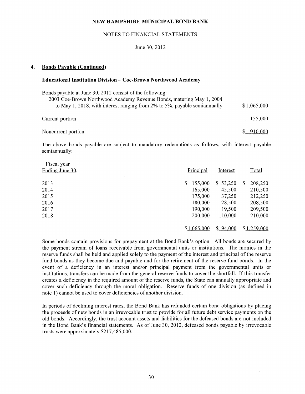#### NOTES TO FINANCIAL STATEMENTS

#### June 30, 2012

#### **4. Bonds Payable (Continued)**

#### **Educational Institution Division- Coe-Brown Northwood Academy**

| Bonds payable at June 30, 2012 consist of the following:                  |             |
|---------------------------------------------------------------------------|-------------|
| 2003 Coe-Brown Northwood Academy Revenue Bonds, maturing May 1, 2004      |             |
| to May 1, 2018, with interest ranging from 2% to 5%, payable semiannually | \$1,065,000 |
|                                                                           |             |
| Current portion                                                           | 155,000     |
|                                                                           |             |
| Noncurrent portion                                                        | \$910,000   |

The above bonds payable are subject to mandatory redemptions as follows, with interest payable semiannually:

| Fiscal year     |               |           |              |
|-----------------|---------------|-----------|--------------|
| Ending June 30, | Principal     | Interest  | Total        |
| 2013            | 155,000<br>\$ | \$53,250  | S<br>208,250 |
| 2014            | 165,000       | 45,500    | 210,500      |
| 2015            | 175,000       | 37,250    | 212,250      |
| 2016            | 180,000       | 28,500    | 208,500      |
| 2017            | 190,000       | 19,500    | 209,500      |
| 2018            | 200,000       | 10,000    | 210,000      |
|                 | \$1,065,000   | \$194,000 | \$1,259,000  |

Some bonds contain provisions for prepayment at the Bond Bank's option. All bonds are secured by the payment stream of loans receivable from governmental units or institutions. The monies in the reserve funds shall be held and applied solely to the payment of the interest and principal of the reserve fund bonds as they become due and payable and for the retirement of the reserve fund bonds. In the event of a deficiency in an interest and/or principal payment from the governmental units or institutions, transfers can be made from the general reserve funds to cover the shortfall. If this transfer creates a deficiency in the required amount of the reserve funds, the State can annually appropriate and cover such deficiency through the moral obligation. Reserve funds of one division (as defined in note **1)** cannot be used to cover deficiencies of another division.

In periods of declining interest rates, the Bond Bank has refunded certain bond obligations by placing the proceeds of new bonds in an irrevocable trust to provide for all future debt service payments on the old bonds. Accordingly, the trust account assets and liabilities for the defeased bonds are not included in the Bond Bank's financial statements. As of June 30, 2012, defeased bonds payable by irrevocable trusts were approximately \$217,485,000.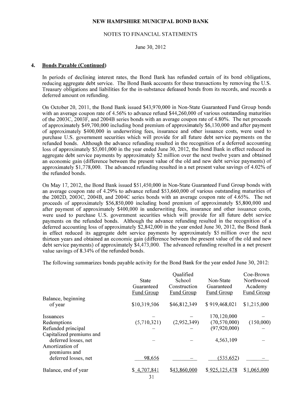#### NOTES TO FINANCIAL STATEMENTS

June 30, 2012

#### 4. Bonds Payable (Continued)

In periods of declining interest rates, the Bond Bank has refunded certain of its bond obligations, reducing aggregate debt service. The Bond Bank accounts for these transactions by removing the U.S. Treasury obligations and liabilities for the in-substance defeased bonds from its records, and records a deferred amount on refunding.

On October 20, 2011, the Bond Bank issued \$43,970,000 in Non-State Guaranteed Fund Group bonds with an average coupon rate of 4.56% to advance refund \$44,260,000 of various outstanding maturities of the 2003C, 2003F, and 2004B series bonds with an average coupon rate of 4.80%. The net proceeds of approximately \$49,700,000 including bond premium of approximately \$6,130,000 and after payment of approximately \$400,000 in underwriting fees, insurance and other issuance costs, were used to purchase U.S. government securities which will provide for all future debt service payments on the refunded bonds. Although the advance refunding resulted in the recognition of a deferred accounting loss of approximately \$5,001,000 in the year ended June 30, 2012, the Bond Bank in effect reduced its aggregate debt service payments by approximately \$2 million over the next twelve years and obtained an economic gain (difference between the present value of the old and new debt service payments) of approximately \$1,778,000. The advanced refunding resulted in a net present value savings of 4.02% of the refunded bonds.

On May 17, 2012, the Bond Bank issued \$51,450,000 in Non-State Guaranteed Fund Group bonds with an average coupon rate of 4.29% to advance refund \$53,660,000 of various outstanding maturities of the 2002D, 2003C, 2004B, and 2004C series bonds with an average coupon rate of 4.65%. The net proceeds of approximately \$56,850,000 including bond premium of approximately \$5,800,000 and after payment of approximately \$400,000 in underwriting fees, insurance and other issuance costs, were used to purchase U.S. government securities which will provide for all future debt service payments on the refunded bonds. Although the advance refunding resulted in the recognition of a deferred accounting loss of approximately \$2,842,000 in the year ended June 30, 2012, the Bond Bank in effect reduced its aggregate debt service payments by approximately \$5 million over the next thirteen years and obtained an economic gain (difference between the present value of the old and new debt service payments) of approximately \$4,473,000. The advanced refunding resulted in a net present value savings of 8.34% of the refunded bonds.

The following summarizes bonds payable activity for the Bond Bank for the year ended June 30, 2012:

|                          |                   | Qualified         |                   | Coe-Brown         |
|--------------------------|-------------------|-------------------|-------------------|-------------------|
|                          | <b>State</b>      | School            | Non-State         | Northwood         |
|                          | Guaranteed        | Construction      | Guaranteed        | Academy           |
|                          | <b>Fund Group</b> | <b>Fund Group</b> | <b>Fund Group</b> | <b>Fund Group</b> |
| Balance, beginning       |                   |                   |                   |                   |
| of year                  | \$10,319,506      | \$46,812,349      | \$919,468,021     | \$1,215,000       |
| Issuances                |                   |                   | 170,120,000       |                   |
| Redemptions              | (5,710,321)       | (2,952,349)       | (70, 570, 000)    | (150,000)         |
| Refunded principal       |                   |                   | (97, 920, 000)    |                   |
| Capitalized premiums and |                   |                   |                   |                   |
| deferred losses, net     |                   |                   | 4,563,109         |                   |
| Amortization of          |                   |                   |                   |                   |
| premiums and             |                   |                   |                   |                   |
| deferred losses, net     | 98,656            |                   | (535, 652)        |                   |
| Balance, end of year     | \$4,707,841       | \$43,860,000      | \$925,125,478     | \$1,065,000       |
|                          |                   |                   |                   |                   |